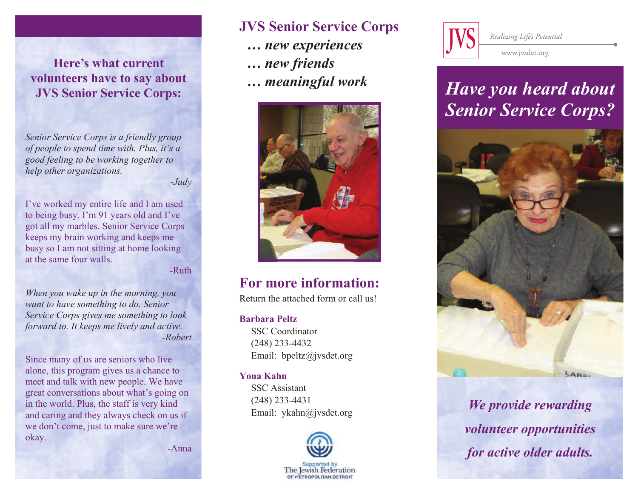**Here's what current volunteers have to say about JVS Senior Service Corps:** 

*Senior Service Corps is a friendly group of people to spend time with. Plus, it's a good feeling to be working together to help other organizations.* 

*-Judy* 

I've worked my entire life and I am used to being busy. I'm 91 years old and I've got all my marbles. Senior Service Corps keeps my brain working and keeps me busy so I am not sitting at home looking at the same four walls.

-Ruth

*When you wake up in the morning, you want to have something to do. Senior Service Corps gives me something to look forward to. It keeps me lively and active. -Robert* 

Since many of us are seniors who live alone, this program gives us a chance to meet and talk with new people. We have great conversations about what's going on in the world. Plus, the staff is very kind and caring and they always check on us if we don't come, just to make sure we're okay.

-Anna

### **JVS Senior Service Corps**  *… new experiences … new friends … meaningful work*



### **For more information:**

Return the attached form or call us!

#### **Barbara Peltz**

 SSC Coordinator (248) 233-4432Email: bpeltz@jvsdet.org

#### **Yona Kahn**

 SSC Assistant (248) 233-4431Email: ykahn@jvsdet.org





Realizing Life's Potential

www.jvsdet.org

# *Have you heard about Senior Service Corps?*



*We provide rewarding volunteer opportunities for active older adults.*